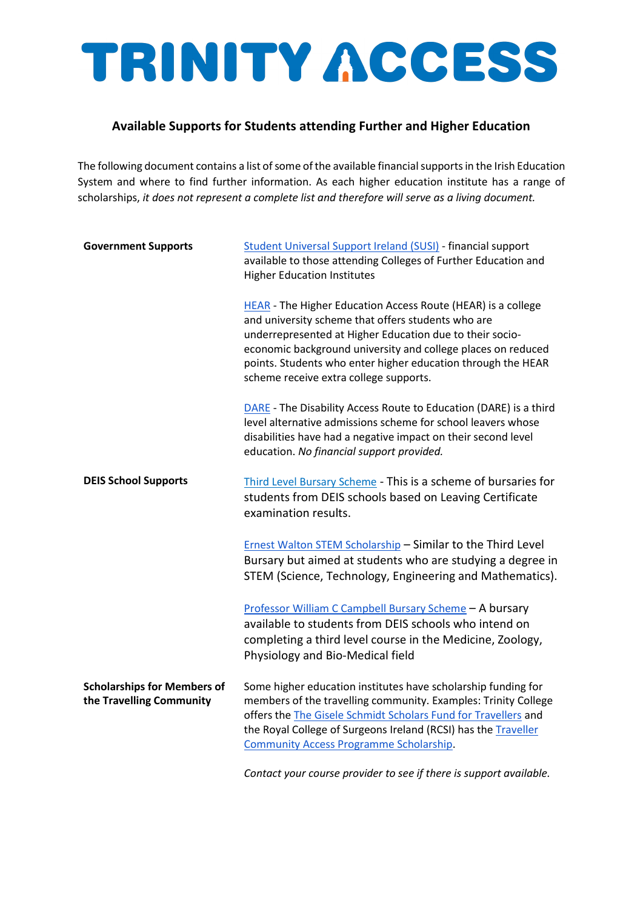### **Available Supports for Students attending Further and Higher Education**

The following document contains a list of some of the available financial supports in the Irish Education System and where to find further information. As each higher education institute has a range of scholarships, *it does not represent a complete list and therefore will serve as a living document.*

| <b>Government Supports</b>                                     | <b>Student Universal Support Ireland (SUSI) - financial support</b><br>available to those attending Colleges of Further Education and<br><b>Higher Education Institutes</b>                                                                                                                                                                                     |
|----------------------------------------------------------------|-----------------------------------------------------------------------------------------------------------------------------------------------------------------------------------------------------------------------------------------------------------------------------------------------------------------------------------------------------------------|
|                                                                | <b>HEAR</b> - The Higher Education Access Route (HEAR) is a college<br>and university scheme that offers students who are<br>underrepresented at Higher Education due to their socio-<br>economic background university and college places on reduced<br>points. Students who enter higher education through the HEAR<br>scheme receive extra college supports. |
|                                                                | <b>DARE</b> - The Disability Access Route to Education (DARE) is a third<br>level alternative admissions scheme for school leavers whose<br>disabilities have had a negative impact on their second level<br>education. No financial support provided.                                                                                                          |
| <b>DEIS School Supports</b>                                    | Third Level Bursary Scheme - This is a scheme of bursaries for<br>students from DEIS schools based on Leaving Certificate<br>examination results.                                                                                                                                                                                                               |
|                                                                | <b>Ernest Walton STEM Scholarship - Similar to the Third Level</b><br>Bursary but aimed at students who are studying a degree in<br>STEM (Science, Technology, Engineering and Mathematics).                                                                                                                                                                    |
|                                                                | Professor William C Campbell Bursary Scheme - A bursary<br>available to students from DEIS schools who intend on<br>completing a third level course in the Medicine, Zoology,<br>Physiology and Bio-Medical field                                                                                                                                               |
| <b>Scholarships for Members of</b><br>the Travelling Community | Some higher education institutes have scholarship funding for<br>members of the travelling community. Examples: Trinity College<br>offers the The Gisele Schmidt Scholars Fund for Travellers and<br>the Royal College of Surgeons Ireland (RCSI) has the Traveller<br><b>Community Access Programme Scholarship.</b>                                           |

*Contact your course provider to see if there is support available.*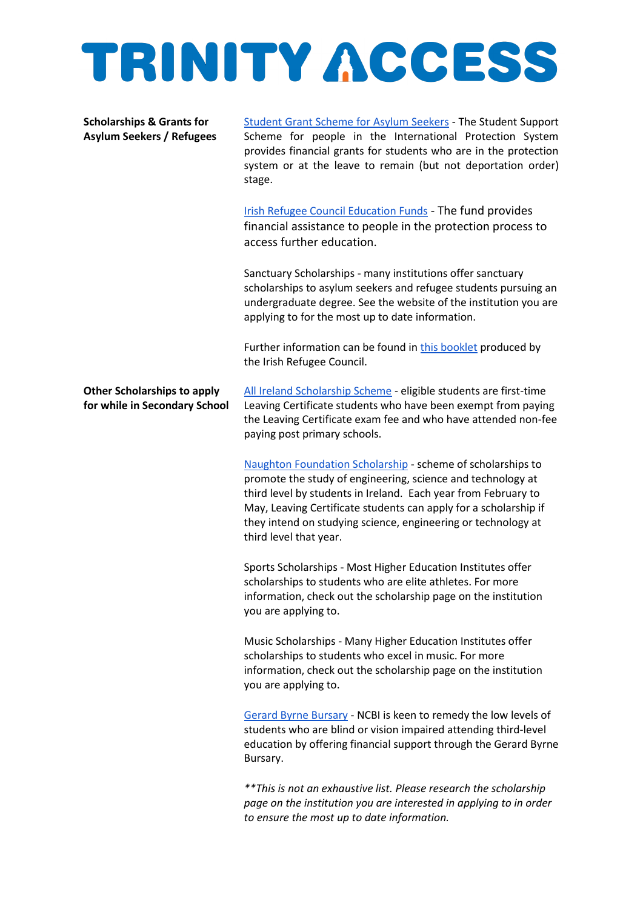#### **Scholarships & Grants for Asylum Seekers / Refugees**

Student Grant Scheme for Asylum Seekers - The Student Support Scheme for people in the International Protection System provides financial grants for students who are in the protection system or at the leave to remain (but not deportation order) stage.

[Irish Refugee Council Education Funds](https://www.irishrefugeecouncil.ie/Listing/Category/education) - The fund provides financial assistance to people in the protection process to access further education.

Sanctuary Scholarships - many institutions offer sanctuary scholarships to asylum seekers and refugee students pursuing an undergraduate degree. See the website of the institution you are applying to for the most up to date information.

Further information can be found in [this booklet](https://www.irishrefugeecouncil.ie/Handlers/Download.ashx?IDMF=7dcb5107-13f1-4aec-9baa-e2d82d07929e) produced by the Irish Refugee Council.

**Other Scholarships to apply for while in Secondary School** [All Ireland Scholarship Scheme](https://www.gov.ie/en/service/third-level-scholarships/#all-ireland-scholarship-scheme) - eligible students are first-time Leaving Certificate students who have been exempt from paying the Leaving Certificate exam fee and who have attended non-fee paying post primary schools.

[Naughton Foundation Scholarship](https://www.thenaughtonfoundation.com/scholarships) - scheme of scholarships to promote the study of engineering, science and technology at third level by students in Ireland. Each year from February to May, Leaving Certificate students can apply for a scholarship if they intend on studying science, engineering or technology at third level that year.

Sports Scholarships - Most Higher Education Institutes offer scholarships to students who are elite athletes. For more information, check out the scholarship page on the institution you are applying to.

Music Scholarships - Many Higher Education Institutes offer scholarships to students who excel in music. For more information, check out the scholarship page on the institution you are applying to.

[Gerard Byrne Bursary](https://www.ncbi.ie/gerard-byrne-bursary/) - NCBI is keen to remedy the low levels of students who are blind or vision impaired attending third-level education by offering financial support through the Gerard Byrne Bursary.

*\*\*This is not an exhaustive list. Please research the scholarship page on the institution you are interested in applying to in order to ensure the most up to date information.*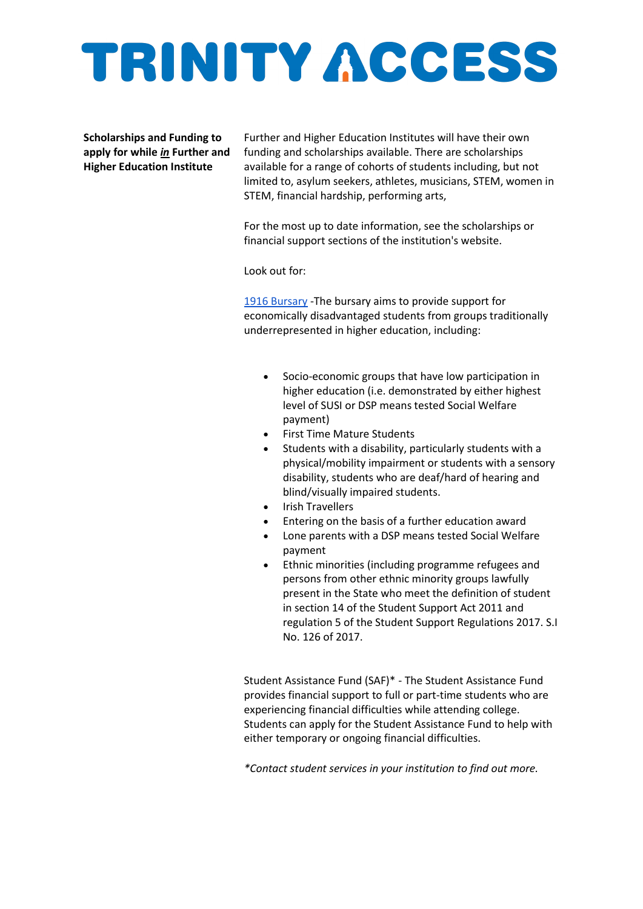**Scholarships and Funding to apply for while** *in* **Further and Higher Education Institute**

Further and Higher Education Institutes will have their own funding and scholarships available. There are scholarships available for a range of cohorts of students including, but not limited to, asylum seekers, athletes, musicians, STEM, women in STEM, financial hardship, performing arts,

For the most up to date information, see the scholarships or financial support sections of the institution's website.

Look out for:

[1916 Bursary](https://hea.ie/funding-governance-performance/funding/student-finance/1916-bursary-fund/) -The bursary aims to provide support for economically disadvantaged students from groups traditionally underrepresented in higher education, including:

- Socio-economic groups that have low participation in higher education (i.e. demonstrated by either highest level of SUSI or DSP means tested Social Welfare payment)
- First Time Mature Students
- Students with a disability, particularly students with a physical/mobility impairment or students with a sensory disability, students who are deaf/hard of hearing and blind/visually impaired students.
- Irish Travellers
- Entering on the basis of a further education award
- Lone parents with a DSP means tested Social Welfare payment
- Ethnic minorities (including programme refugees and persons from other ethnic minority groups lawfully present in the State who meet the definition of student in section 14 of the Student Support Act 2011 and regulation 5 of the Student Support Regulations 2017. S.I No. 126 of 2017.

Student Assistance Fund (SAF)\* - The Student Assistance Fund provides financial support to full or part-time students who are experiencing financial difficulties while attending college. Students can apply for the Student Assistance Fund to help with either temporary or ongoing financial difficulties.

*\*Contact student services in your institution to find out more.*